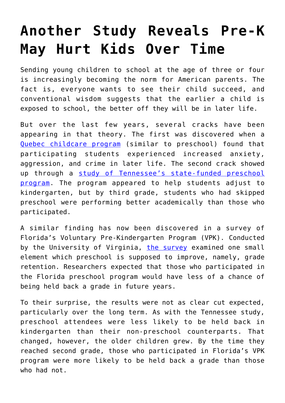## **[Another Study Reveals Pre-K](https://intellectualtakeout.org/2017/11/another-study-reveals-pre-k-may-hurt-kids-over-time/) [May Hurt Kids Over Time](https://intellectualtakeout.org/2017/11/another-study-reveals-pre-k-may-hurt-kids-over-time/)**

Sending young children to school at the age of three or four is increasingly becoming the norm for American parents. The fact is, everyone wants to see their child succeed, and conventional wisdom suggests that the earlier a child is exposed to school, the better off they will be in later life.

But over the last few years, several cracks have been appearing in that theory. The first was discovered when a [Quebec childcare program](https://www.intellectualtakeout.org/blog/new-study-universal-preschool-may-hurt-children-not-help) (similar to preschool) found that participating students experienced increased anxiety, aggression, and crime in later life. The second crack showed up through a [study of Tennessee's state-funded preschool](https://www.intellectualtakeout.org/blog/aaaand-another-study-says-preschool-hurts-not-helps) [program](https://www.intellectualtakeout.org/blog/aaaand-another-study-says-preschool-hurts-not-helps). The program appeared to help students adjust to kindergarten, but by third grade, students who had skipped preschool were performing better academically than those who participated.

A similar finding has now been discovered in a survey of Florida's Voluntary Pre-Kindergarten Program (VPK). Conducted by the University of Virginia, [the survey](https://curry.virginia.edu/sites/default/files/files/EdPolicyWorks_files/57_Effects_of_Preschool_on_Retention.pdf) examined one small element which preschool is supposed to improve, namely, grade retention. Researchers expected that those who participated in the Florida preschool program would have less of a chance of being held back a grade in future years.

To their surprise, the results were not as clear cut expected, particularly over the long term. As with the Tennessee study, preschool attendees were less likely to be held back in kindergarten than their non-preschool counterparts. That changed, however, the older children grew. By the time they reached second grade, those who participated in Florida's VPK program were more likely to be held back a grade than those who had not.